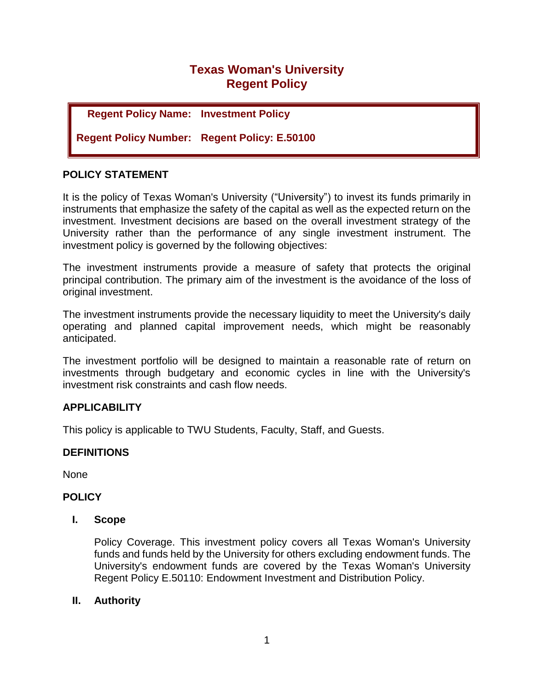# **Texas Woman's University Regent Policy**

## **Regent Policy Name: Investment Policy**

**Regent Policy Number: Regent Policy: E.50100**

### **POLICY STATEMENT**

It is the policy of Texas Woman's University ("University") to invest its funds primarily in instruments that emphasize the safety of the capital as well as the expected return on the investment. Investment decisions are based on the overall investment strategy of the University rather than the performance of any single investment instrument. The investment policy is governed by the following objectives:

The investment instruments provide a measure of safety that protects the original principal contribution. The primary aim of the investment is the avoidance of the loss of original investment.

The investment instruments provide the necessary liquidity to meet the University's daily operating and planned capital improvement needs, which might be reasonably anticipated.

The investment portfolio will be designed to maintain a reasonable rate of return on investments through budgetary and economic cycles in line with the University's investment risk constraints and cash flow needs.

## **APPLICABILITY**

This policy is applicable to TWU Students, Faculty, Staff, and Guests.

### **DEFINITIONS**

None

### **POLICY**

#### **I. Scope**

Policy Coverage. This investment policy covers all Texas Woman's University funds and funds held by the University for others excluding endowment funds. The University's endowment funds are covered by the Texas Woman's University Regent Policy E.50110: Endowment Investment and Distribution Policy.

### **II. Authority**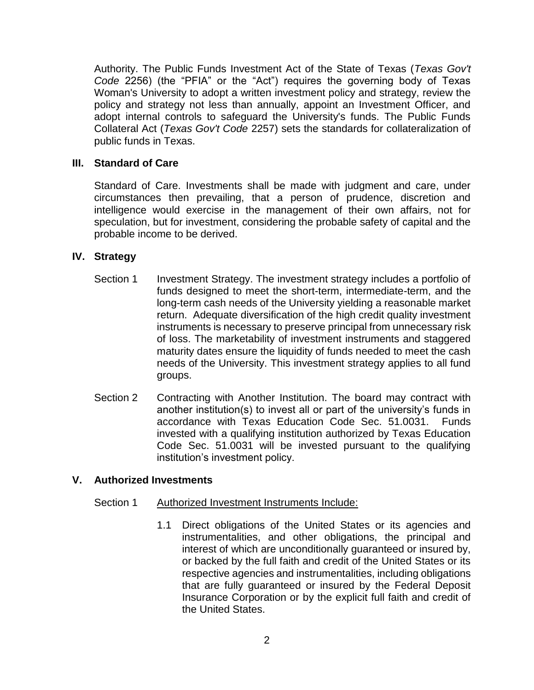Authority. The Public Funds Investment Act of the State of Texas (*Texas Gov't Code* 2256) (the "PFIA" or the "Act") requires the governing body of Texas Woman's University to adopt a written investment policy and strategy, review the policy and strategy not less than annually, appoint an Investment Officer, and adopt internal controls to safeguard the University's funds. The Public Funds Collateral Act (*Texas Gov't Code* 2257) sets the standards for collateralization of public funds in Texas.

## **III. Standard of Care**

Standard of Care. Investments shall be made with judgment and care, under circumstances then prevailing, that a person of prudence, discretion and intelligence would exercise in the management of their own affairs, not for speculation, but for investment, considering the probable safety of capital and the probable income to be derived.

## **IV. Strategy**

- Section 1 Investment Strategy. The investment strategy includes a portfolio of funds designed to meet the short-term, intermediate-term, and the long-term cash needs of the University yielding a reasonable market return. Adequate diversification of the high credit quality investment instruments is necessary to preserve principal from unnecessary risk of loss. The marketability of investment instruments and staggered maturity dates ensure the liquidity of funds needed to meet the cash needs of the University. This investment strategy applies to all fund groups.
- Section 2 Contracting with Another Institution. The board may contract with another institution(s) to invest all or part of the university's funds in accordance with Texas Education Code Sec. 51.0031. Funds invested with a qualifying institution authorized by Texas Education Code Sec. 51.0031 will be invested pursuant to the qualifying institution's investment policy.

### **V. Authorized Investments**

### Section 1 Authorized Investment Instruments Include:

1.1 Direct obligations of the United States or its agencies and instrumentalities, and other obligations, the principal and interest of which are unconditionally guaranteed or insured by, or backed by the full faith and credit of the United States or its respective agencies and instrumentalities, including obligations that are fully guaranteed or insured by the Federal Deposit Insurance Corporation or by the explicit full faith and credit of the United States.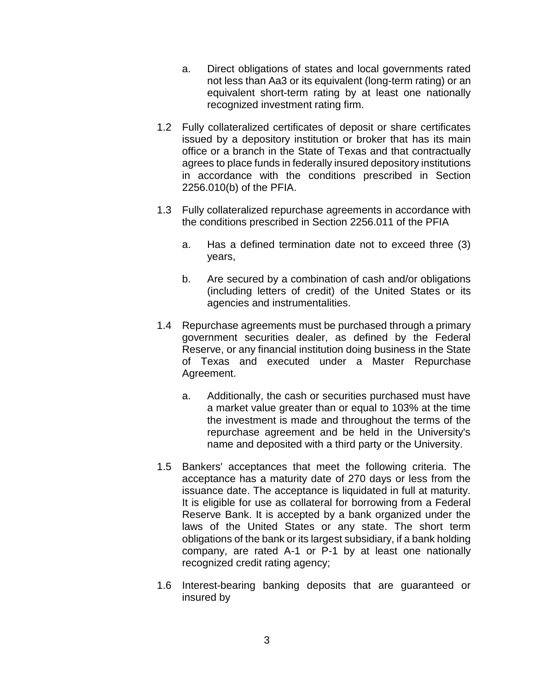- a. Direct obligations of states and local governments rated not less than Aa3 or its equivalent (long-term rating) or an equivalent short-term rating by at least one nationally recognized investment rating firm.
- 1.2 Fully collateralized certificates of deposit or share certificates issued by a depository institution or broker that has its main office or a branch in the State of Texas and that contractually agrees to place funds in federally insured depository institutions in accordance with the conditions prescribed in Section 2256.010(b) of the PFIA.
- 1.3 Fully collateralized repurchase agreements in accordance with the conditions prescribed in Section 2256.011 of the PFIA
	- a. Has a defined termination date not to exceed three (3) years,
	- b. Are secured by a combination of cash and/or obligations (including letters of credit) of the United States or its agencies and instrumentalities.
- 1.4 Repurchase agreements must be purchased through a primary government securities dealer, as defined by the Federal Reserve, or any financial institution doing business in the State of Texas and executed under a Master Repurchase Agreement.
	- a. Additionally, the cash or securities purchased must have a market value greater than or equal to 103% at the time the investment is made and throughout the terms of the repurchase agreement and be held in the University's name and deposited with a third party or the University.
- 1.5 Bankers' acceptances that meet the following criteria. The acceptance has a maturity date of 270 days or less from the issuance date. The acceptance is liquidated in full at maturity. It is eligible for use as collateral for borrowing from a Federal Reserve Bank. It is accepted by a bank organized under the laws of the United States or any state. The short term obligations of the bank or its largest subsidiary, if a bank holding company, are rated A-1 or P-1 by at least one nationally recognized credit rating agency;
- 1.6 Interest-bearing banking deposits that are guaranteed or insured by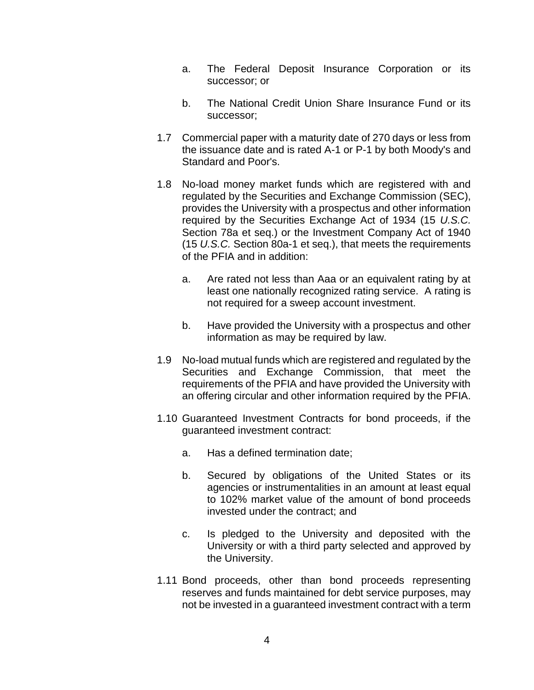- a. The Federal Deposit Insurance Corporation or its successor; or
- b. The National Credit Union Share Insurance Fund or its successor;
- 1.7 Commercial paper with a maturity date of 270 days or less from the issuance date and is rated A-1 or P-1 by both Moody's and Standard and Poor's.
- 1.8 No-load money market funds which are registered with and regulated by the Securities and Exchange Commission (SEC), provides the University with a prospectus and other information required by the Securities Exchange Act of 1934 (15 *U.S.C.* Section 78a et seq.) or the Investment Company Act of 1940 (15 *U.S.C.* Section 80a-1 et seq.), that meets the requirements of the PFIA and in addition:
	- a. Are rated not less than Aaa or an equivalent rating by at least one nationally recognized rating service. A rating is not required for a sweep account investment.
	- b. Have provided the University with a prospectus and other information as may be required by law.
- 1.9 No-load mutual funds which are registered and regulated by the Securities and Exchange Commission, that meet the requirements of the PFIA and have provided the University with an offering circular and other information required by the PFIA.
- 1.10 Guaranteed Investment Contracts for bond proceeds, if the guaranteed investment contract:
	- a. Has a defined termination date;
	- b. Secured by obligations of the United States or its agencies or instrumentalities in an amount at least equal to 102% market value of the amount of bond proceeds invested under the contract; and
	- c. Is pledged to the University and deposited with the University or with a third party selected and approved by the University.
- 1.11 Bond proceeds, other than bond proceeds representing reserves and funds maintained for debt service purposes, may not be invested in a guaranteed investment contract with a term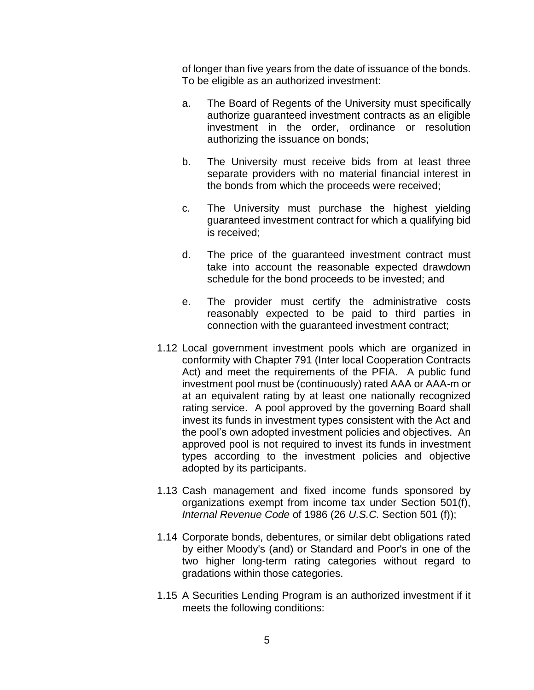of longer than five years from the date of issuance of the bonds. To be eligible as an authorized investment:

- a. The Board of Regents of the University must specifically authorize guaranteed investment contracts as an eligible investment in the order, ordinance or resolution authorizing the issuance on bonds;
- b. The University must receive bids from at least three separate providers with no material financial interest in the bonds from which the proceeds were received;
- c. The University must purchase the highest yielding guaranteed investment contract for which a qualifying bid is received;
- d. The price of the guaranteed investment contract must take into account the reasonable expected drawdown schedule for the bond proceeds to be invested; and
- e. The provider must certify the administrative costs reasonably expected to be paid to third parties in connection with the guaranteed investment contract;
- 1.12 Local government investment pools which are organized in conformity with Chapter 791 (Inter local Cooperation Contracts Act) and meet the requirements of the PFIA. A public fund investment pool must be (continuously) rated AAA or AAA-m or at an equivalent rating by at least one nationally recognized rating service. A pool approved by the governing Board shall invest its funds in investment types consistent with the Act and the pool's own adopted investment policies and objectives. An approved pool is not required to invest its funds in investment types according to the investment policies and objective adopted by its participants.
- 1.13 Cash management and fixed income funds sponsored by organizations exempt from income tax under Section 501(f), *Internal Revenue Code* of 1986 (26 *U.S.C.* Section 501 (f));
- 1.14 Corporate bonds, debentures, or similar debt obligations rated by either Moody's (and) or Standard and Poor's in one of the two higher long-term rating categories without regard to gradations within those categories.
- 1.15 A Securities Lending Program is an authorized investment if it meets the following conditions: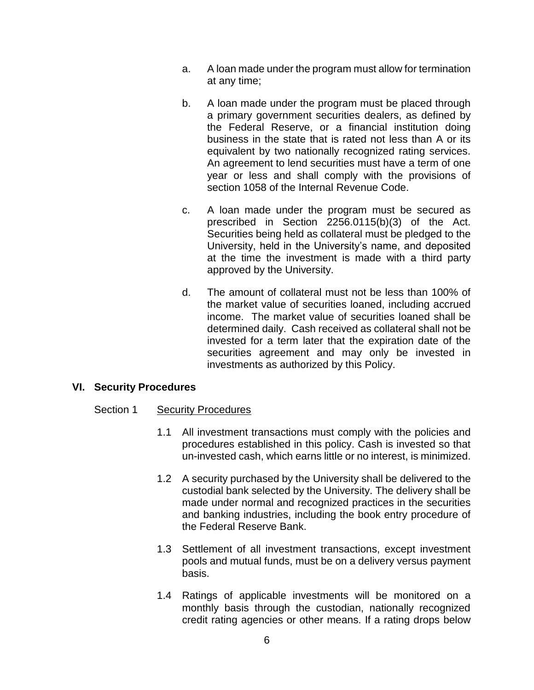- a. A loan made under the program must allow for termination at any time;
- b. A loan made under the program must be placed through a primary government securities dealers, as defined by the Federal Reserve, or a financial institution doing business in the state that is rated not less than A or its equivalent by two nationally recognized rating services. An agreement to lend securities must have a term of one year or less and shall comply with the provisions of section 1058 of the Internal Revenue Code.
- c. A loan made under the program must be secured as prescribed in Section 2256.0115(b)(3) of the Act. Securities being held as collateral must be pledged to the University, held in the University's name, and deposited at the time the investment is made with a third party approved by the University.
- d. The amount of collateral must not be less than 100% of the market value of securities loaned, including accrued income. The market value of securities loaned shall be determined daily. Cash received as collateral shall not be invested for a term later that the expiration date of the securities agreement and may only be invested in investments as authorized by this Policy.

### **VI. Security Procedures**

### Section 1 Security Procedures

- 1.1 All investment transactions must comply with the policies and procedures established in this policy. Cash is invested so that un-invested cash, which earns little or no interest, is minimized.
- 1.2 A security purchased by the University shall be delivered to the custodial bank selected by the University. The delivery shall be made under normal and recognized practices in the securities and banking industries, including the book entry procedure of the Federal Reserve Bank.
- 1.3 Settlement of all investment transactions, except investment pools and mutual funds, must be on a delivery versus payment basis.
- 1.4 Ratings of applicable investments will be monitored on a monthly basis through the custodian, nationally recognized credit rating agencies or other means. If a rating drops below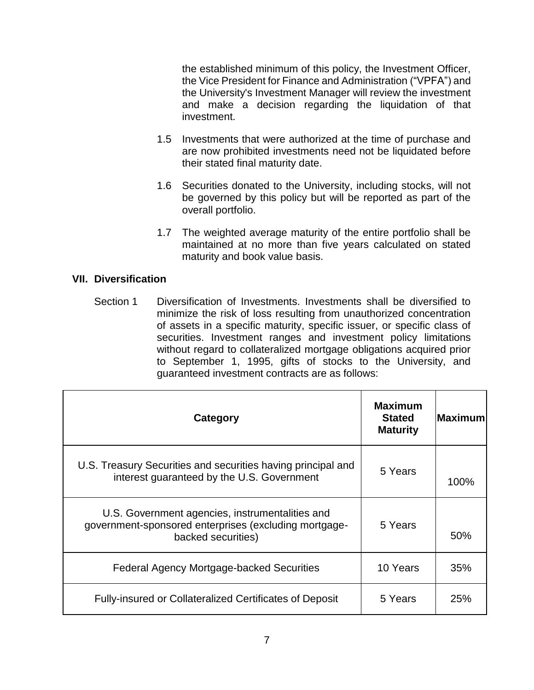the established minimum of this policy, the Investment Officer, the Vice President for Finance and Administration ("VPFA") and the University's Investment Manager will review the investment and make a decision regarding the liquidation of that investment.

- 1.5 Investments that were authorized at the time of purchase and are now prohibited investments need not be liquidated before their stated final maturity date.
- 1.6 Securities donated to the University, including stocks, will not be governed by this policy but will be reported as part of the overall portfolio.
- 1.7 The weighted average maturity of the entire portfolio shall be maintained at no more than five years calculated on stated maturity and book value basis.

### **VII. Diversification**

Section 1 Diversification of Investments. Investments shall be diversified to minimize the risk of loss resulting from unauthorized concentration of assets in a specific maturity, specific issuer, or specific class of securities. Investment ranges and investment policy limitations without regard to collateralized mortgage obligations acquired prior to September 1, 1995, gifts of stocks to the University, and guaranteed investment contracts are as follows:

| Category                                                                                                                       | <b>Maximum</b><br><b>Stated</b><br><b>Maturity</b> | <b>Maximum</b> |
|--------------------------------------------------------------------------------------------------------------------------------|----------------------------------------------------|----------------|
| U.S. Treasury Securities and securities having principal and<br>interest guaranteed by the U.S. Government                     | 5 Years                                            | 100%           |
| U.S. Government agencies, instrumentalities and<br>government-sponsored enterprises (excluding mortgage-<br>backed securities) | 5 Years                                            | 50%            |
| <b>Federal Agency Mortgage-backed Securities</b>                                                                               | 10 Years                                           | 35%            |
| <b>Fully-insured or Collateralized Certificates of Deposit</b>                                                                 | 5 Years                                            | 25%            |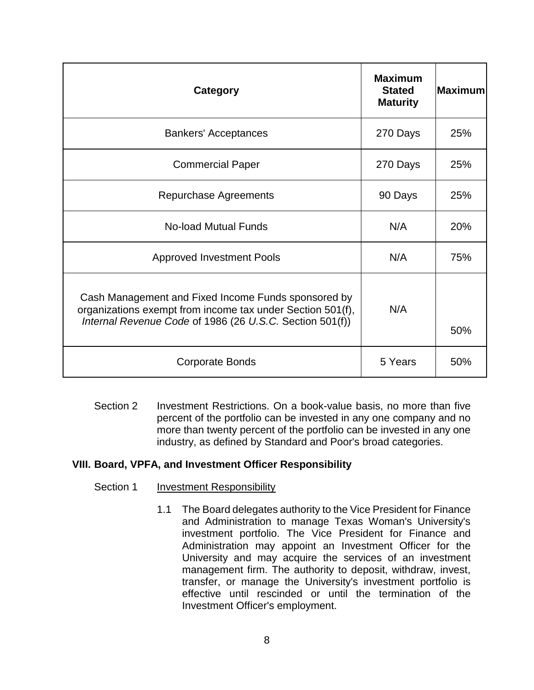| Category                                                                                                                                                                      | <b>Maximum</b><br><b>Stated</b><br><b>Maturity</b> | <b>Maximum</b> |
|-------------------------------------------------------------------------------------------------------------------------------------------------------------------------------|----------------------------------------------------|----------------|
| <b>Bankers' Acceptances</b>                                                                                                                                                   | 270 Days                                           | 25%            |
| <b>Commercial Paper</b>                                                                                                                                                       | 270 Days                                           | 25%            |
| Repurchase Agreements                                                                                                                                                         | 90 Days                                            | 25%            |
| <b>No-load Mutual Funds</b>                                                                                                                                                   | N/A                                                | 20%            |
| <b>Approved Investment Pools</b>                                                                                                                                              | N/A                                                | 75%            |
| Cash Management and Fixed Income Funds sponsored by<br>organizations exempt from income tax under Section 501(f),<br>Internal Revenue Code of 1986 (26 U.S.C. Section 501(f)) | N/A                                                | 50%            |
| Corporate Bonds                                                                                                                                                               | 5 Years                                            | 50%            |

Section 2 Investment Restrictions. On a book-value basis, no more than five percent of the portfolio can be invested in any one company and no more than twenty percent of the portfolio can be invested in any one industry, as defined by Standard and Poor's broad categories.

#### **VIII. Board, VPFA, and Investment Officer Responsibility**

- Section 1 Investment Responsibility
	- 1.1 The Board delegates authority to the Vice President for Finance and Administration to manage Texas Woman's University's investment portfolio. The Vice President for Finance and Administration may appoint an Investment Officer for the University and may acquire the services of an investment management firm. The authority to deposit, withdraw, invest, transfer, or manage the University's investment portfolio is effective until rescinded or until the termination of the Investment Officer's employment.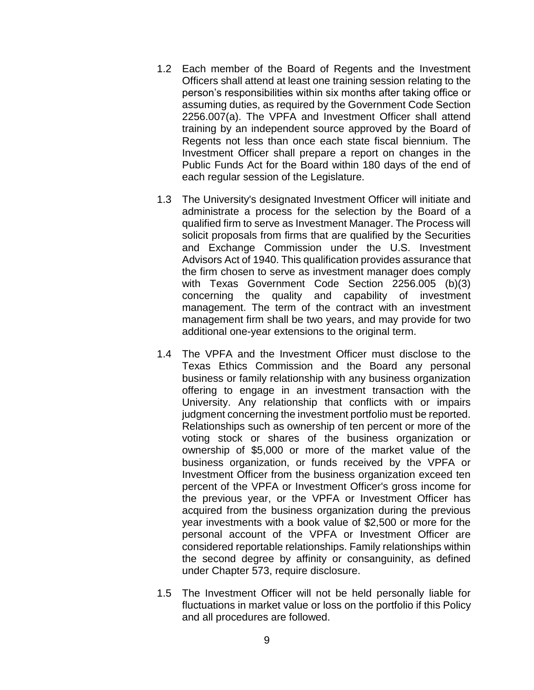- 1.2 Each member of the Board of Regents and the Investment Officers shall attend at least one training session relating to the person's responsibilities within six months after taking office or assuming duties, as required by the Government Code Section 2256.007(a). The VPFA and Investment Officer shall attend training by an independent source approved by the Board of Regents not less than once each state fiscal biennium. The Investment Officer shall prepare a report on changes in the Public Funds Act for the Board within 180 days of the end of each regular session of the Legislature.
- 1.3 The University's designated Investment Officer will initiate and administrate a process for the selection by the Board of a qualified firm to serve as Investment Manager. The Process will solicit proposals from firms that are qualified by the Securities and Exchange Commission under the U.S. Investment Advisors Act of 1940. This qualification provides assurance that the firm chosen to serve as investment manager does comply with Texas Government Code Section 2256.005 (b)(3) concerning the quality and capability of investment management. The term of the contract with an investment management firm shall be two years, and may provide for two additional one-year extensions to the original term.
- 1.4 The VPFA and the Investment Officer must disclose to the Texas Ethics Commission and the Board any personal business or family relationship with any business organization offering to engage in an investment transaction with the University. Any relationship that conflicts with or impairs judgment concerning the investment portfolio must be reported. Relationships such as ownership of ten percent or more of the voting stock or shares of the business organization or ownership of \$5,000 or more of the market value of the business organization, or funds received by the VPFA or Investment Officer from the business organization exceed ten percent of the VPFA or Investment Officer's gross income for the previous year, or the VPFA or Investment Officer has acquired from the business organization during the previous year investments with a book value of \$2,500 or more for the personal account of the VPFA or Investment Officer are considered reportable relationships. Family relationships within the second degree by affinity or consanguinity, as defined under Chapter 573, require disclosure.
- 1.5 The Investment Officer will not be held personally liable for fluctuations in market value or loss on the portfolio if this Policy and all procedures are followed.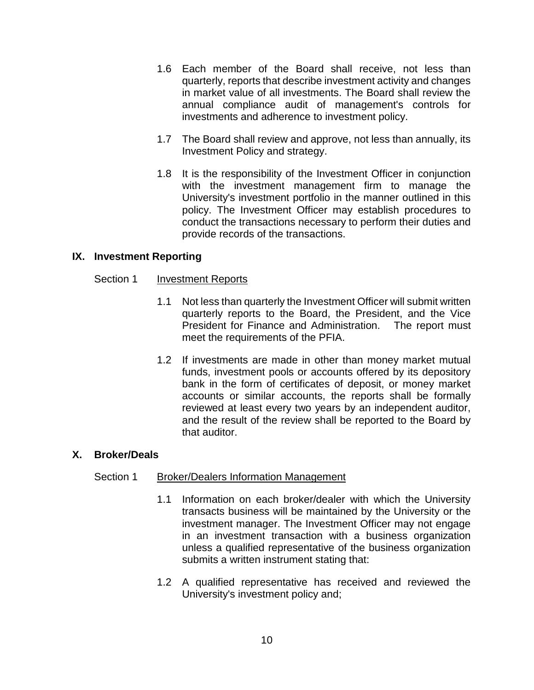- 1.6 Each member of the Board shall receive, not less than quarterly, reports that describe investment activity and changes in market value of all investments. The Board shall review the annual compliance audit of management's controls for investments and adherence to investment policy.
- 1.7 The Board shall review and approve, not less than annually, its Investment Policy and strategy.
- 1.8 It is the responsibility of the Investment Officer in conjunction with the investment management firm to manage the University's investment portfolio in the manner outlined in this policy. The Investment Officer may establish procedures to conduct the transactions necessary to perform their duties and provide records of the transactions.

## **IX. Investment Reporting**

### Section 1 Investment Reports

- 1.1 Not less than quarterly the Investment Officer will submit written quarterly reports to the Board, the President, and the Vice President for Finance and Administration. The report must meet the requirements of the PFIA.
- 1.2 If investments are made in other than money market mutual funds, investment pools or accounts offered by its depository bank in the form of certificates of deposit, or money market accounts or similar accounts, the reports shall be formally reviewed at least every two years by an independent auditor, and the result of the review shall be reported to the Board by that auditor.

### **X. Broker/Deals**

### Section 1 Broker/Dealers Information Management

- 1.1 Information on each broker/dealer with which the University transacts business will be maintained by the University or the investment manager. The Investment Officer may not engage in an investment transaction with a business organization unless a qualified representative of the business organization submits a written instrument stating that:
- 1.2 A qualified representative has received and reviewed the University's investment policy and;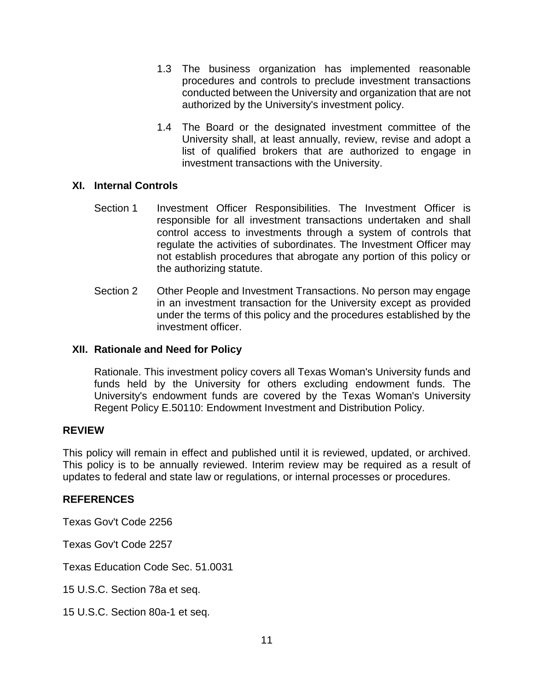- 1.3 The business organization has implemented reasonable procedures and controls to preclude investment transactions conducted between the University and organization that are not authorized by the University's investment policy.
- 1.4 The Board or the designated investment committee of the University shall, at least annually, review, revise and adopt a list of qualified brokers that are authorized to engage in investment transactions with the University.

### **XI. Internal Controls**

- Section 1 Investment Officer Responsibilities. The Investment Officer is responsible for all investment transactions undertaken and shall control access to investments through a system of controls that regulate the activities of subordinates. The Investment Officer may not establish procedures that abrogate any portion of this policy or the authorizing statute.
- Section 2 Other People and Investment Transactions. No person may engage in an investment transaction for the University except as provided under the terms of this policy and the procedures established by the investment officer.

### **XII. Rationale and Need for Policy**

Rationale. This investment policy covers all Texas Woman's University funds and funds held by the University for others excluding endowment funds. The University's endowment funds are covered by the Texas Woman's University Regent Policy E.50110: Endowment Investment and Distribution Policy.

#### **REVIEW**

This policy will remain in effect and published until it is reviewed, updated, or archived. This policy is to be annually reviewed. Interim review may be required as a result of updates to federal and state law or regulations, or internal processes or procedures.

#### **REFERENCES**

Texas Gov't Code 2256

Texas Gov't Code 2257

Texas Education Code Sec. 51.0031

15 U.S.C. Section 78a et seq.

15 U.S.C. Section 80a-1 et seq.